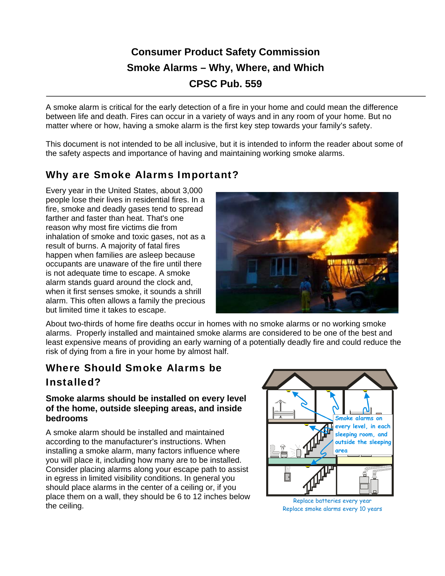# **Consumer Product Safety Commission Smoke Alarms – Why, Where, and Which CPSC Pub. 559**

A smoke alarm is critical for the early detection of a fire in your home and could mean the difference between life and death. Fires can occur in a variety of ways and in any room of your home. But no matter where or how, having a smoke alarm is the first key step towards your family's safety.

This document is not intended to be all inclusive, but it is intended to inform the reader about some of the safety aspects and importance of having and maintaining working smoke alarms.

## Why are Smoke Alarms Important?

Every year in the United States, about 3,000 people lose their lives in residential fires. In a fire, smoke and deadly gases tend to spread farther and faster than heat. That's one reason why most fire victims die from inhalation of smoke and toxic gases, not as a result of burns. A majority of fatal fires happen when families are asleep because occupants are unaware of the fire until there is not adequate time to escape. A smoke alarm stands guard around the clock and, when it first senses smoke, it sounds a shrill alarm. This often allows a family the precious but limited time it takes to escape.



About two-thirds of home fire deaths occur in homes with no smoke alarms or no working smoke alarms. Properly installed and maintained smoke alarms are considered to be one of the best and least expensive means of providing an early warning of a potentially deadly fire and could reduce the risk of dying from a fire in your home by almost half.

# Where Should Smoke Alarms be Installed?

#### **Smoke alarms should be installed on every level of the home, outside sleeping areas, and inside bedrooms**

A smoke alarm should be installed and maintained according to the manufacturer's instructions. When installing a smoke alarm, many factors influence where you will place it, including how many are to be installed. Consider placing alarms along your escape path to assist in egress in limited visibility conditions. In general you should place alarms in the center of a ceiling or, if you place them on a wall, they should be 6 to 12 inches below the ceiling.



Replace batteries every year Replace smoke alarms every 10 years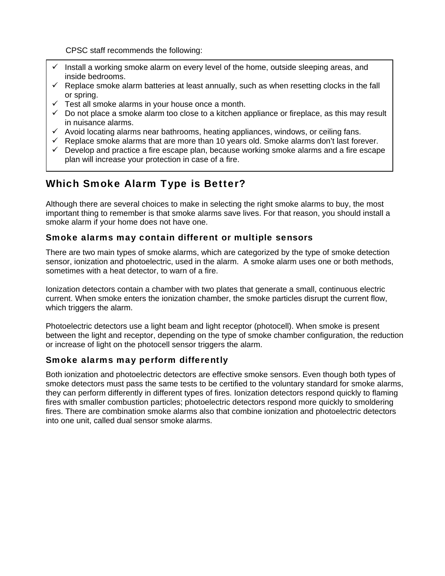CPSC staff recommends the following:

- Install a working smoke alarm on every level of the home, outside sleeping areas, and inside bedrooms.
- $\checkmark$  Replace smoke alarm batteries at least annually, such as when resetting clocks in the fall or spring.
- $\checkmark$  Test all smoke alarms in your house once a month.
- $\checkmark$  Do not place a smoke alarm too close to a kitchen appliance or fireplace, as this may result in nuisance alarms.
- $\checkmark$  Avoid locating alarms near bathrooms, heating appliances, windows, or ceiling fans.
- $\checkmark$  Replace smoke alarms that are more than 10 years old. Smoke alarms don't last forever.
- $\checkmark$  Develop and practice a fire escape plan, because working smoke alarms and a fire escape plan will increase your protection in case of a fire.

## Which Smoke Alarm Type is Better?

Although there are several choices to make in selecting the right smoke alarms to buy, the most important thing to remember is that smoke alarms save lives. For that reason, you should install a smoke alarm if your home does not have one.

#### Smoke alarms may contain different or multiple sensors

There are two main types of smoke alarms, which are categorized by the type of smoke detection sensor, ionization and photoelectric, used in the alarm. A smoke alarm uses one or both methods, sometimes with a heat detector, to warn of a fire.

Ionization detectors contain a chamber with two plates that generate a small, continuous electric current. When smoke enters the ionization chamber, the smoke particles disrupt the current flow, which triggers the alarm.

Photoelectric detectors use a light beam and light receptor (photocell). When smoke is present between the light and receptor, depending on the type of smoke chamber configuration, the reduction or increase of light on the photocell sensor triggers the alarm.

#### Smoke alarms may perform differently

Both ionization and photoelectric detectors are effective smoke sensors. Even though both types of smoke detectors must pass the same tests to be certified to the voluntary standard for smoke alarms, they can perform differently in different types of fires. Ionization detectors respond quickly to flaming fires with smaller combustion particles; photoelectric detectors respond more quickly to smoldering fires. There are combination smoke alarms also that combine ionization and photoelectric detectors into one unit, called dual sensor smoke alarms.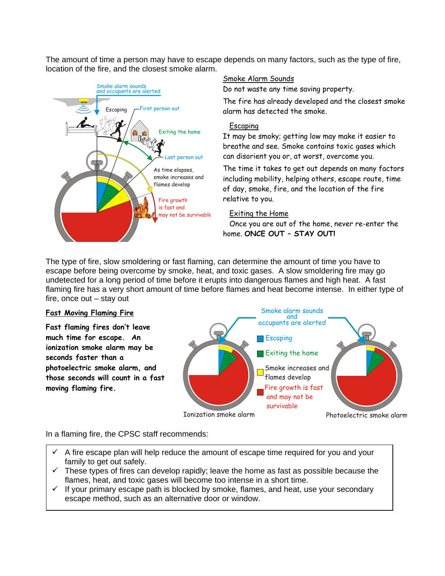The amount of time a person may have to escape depends on many factors, such as the type of fire, location of the fire, and the closest smoke alarm.



#### Smoke Alarm Sounds

Do not waste any time saving property.

The fire has already developed and the closest smoke alarm has detected the smoke.

#### Escaping

It may be smoky; getting low may make it easier to breathe and see. Smoke contains toxic gases which can disorient you or, at worst, overcome you.

The time it takes to get out depends on many factors including mobility, helping others, escape route, time of day, smoke, fire, and the location of the fire relative to you.

#### Exiting the Home

Once you are out of the home, never re-enter the home. **ONCE OUT – STAY OUT!** 

The type of fire, slow smoldering or fast flaming, can determine the amount of time you have to escape before being overcome by smoke, heat, and toxic gases. A slow smoldering fire may go undetected for a long period of time before it erupts into dangerous flames and high heat. A fast flaming fire has a very short amount of time before flames and heat become intense. In either type of fire, once out – stay out

#### **Fast Moving Flaming Fire**

**Fast flaming fires don't leave much time for escape. An ionization smoke alarm may be seconds faster than a photoelectric smoke alarm, and those seconds will count in a fast moving flaming fire.** 



In a flaming fire, the CPSC staff recommends:

- A fire escape plan will help reduce the amount of escape time required for you and your family to get out safely.
- $\checkmark$  These types of fires can develop rapidly; leave the home as fast as possible because the flames, heat, and toxic gases will become too intense in a short time.
- $\checkmark$  If your primary escape path is blocked by smoke, flames, and heat, use your secondary escape method, such as an alternative door or window.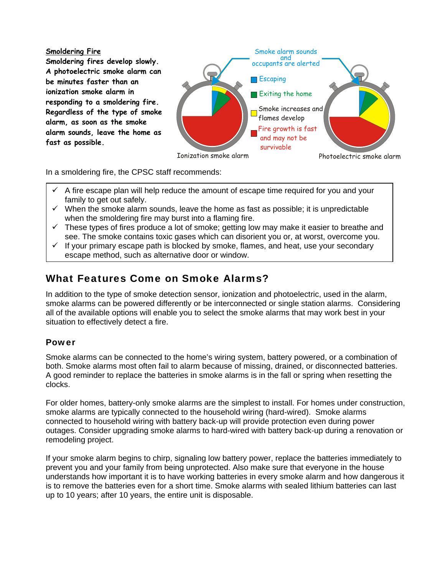**Smoldering Fire Smoldering fires develop slowly. A photoelectric smoke alarm can be minutes faster than an ionization smoke alarm in responding to a smoldering fire. Regardless of the type of smoke alarm, as soon as the smoke alarm sounds, leave the home as fast as possible.** 



In a smoldering fire, the CPSC staff recommends:

- A fire escape plan will help reduce the amount of escape time required for you and your family to get out safely.
- $\checkmark$  When the smoke alarm sounds, leave the home as fast as possible; it is unpredictable when the smoldering fire may burst into a flaming fire.
- $\checkmark$  These types of fires produce a lot of smoke; getting low may make it easier to breathe and see. The smoke contains toxic gases which can disorient you or, at worst, overcome you.
- $\checkmark$  If your primary escape path is blocked by smoke, flames, and heat, use your secondary escape method, such as alternative door or window.

# What Features Come on Smoke Alarms?

In addition to the type of smoke detection sensor, ionization and photoelectric, used in the alarm, smoke alarms can be powered differently or be interconnected or single station alarms. Considering all of the available options will enable you to select the smoke alarms that may work best in your situation to effectively detect a fire.

### Power

Smoke alarms can be connected to the home's wiring system, battery powered, or a combination of both. Smoke alarms most often fail to alarm because of missing, drained, or disconnected batteries. A good reminder to replace the batteries in smoke alarms is in the fall or spring when resetting the clocks.

For older homes, battery-only smoke alarms are the simplest to install. For homes under construction, smoke alarms are typically connected to the household wiring (hard-wired). Smoke alarms connected to household wiring with battery back-up will provide protection even during power outages. Consider upgrading smoke alarms to hard-wired with battery back-up during a renovation or remodeling project.

If your smoke alarm begins to chirp, signaling low battery power, replace the batteries immediately to prevent you and your family from being unprotected. Also make sure that everyone in the house understands how important it is to have working batteries in every smoke alarm and how dangerous it is to remove the batteries even for a short time. Smoke alarms with sealed lithium batteries can last up to 10 years; after 10 years, the entire unit is disposable.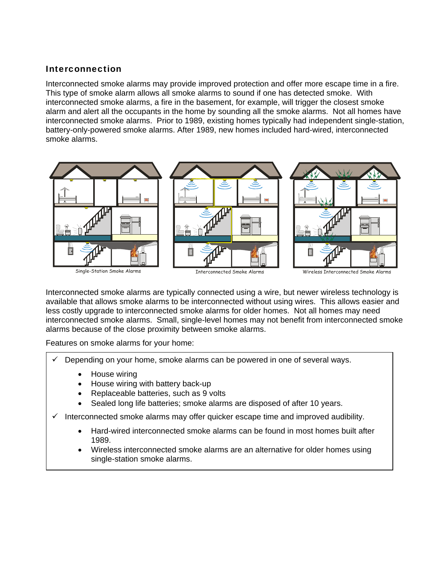## Interconnection

Interconnected smoke alarms may provide improved protection and offer more escape time in a fire. This type of smoke alarm allows all smoke alarms to sound if one has detected smoke. With interconnected smoke alarms, a fire in the basement, for example, will trigger the closest smoke alarm and alert all the occupants in the home by sounding all the smoke alarms. Not all homes have interconnected smoke alarms. Prior to 1989, existing homes typically had independent single-station, battery-only-powered smoke alarms. After 1989, new homes included hard-wired, interconnected smoke alarms.



Interconnected smoke alarms are typically connected using a wire, but newer wireless technology is available that allows smoke alarms to be interconnected without using wires. This allows easier and less costly upgrade to interconnected smoke alarms for older homes. Not all homes may need interconnected smoke alarms. Small, single-level homes may not benefit from interconnected smoke alarms because of the close proximity between smoke alarms.

Features on smoke alarms for your home:

- Depending on your home, smoke alarms can be powered in one of several ways.
	- House wiring
	- House wiring with battery back-up
	- Replaceable batteries, such as 9 volts
	- Sealed long life batteries; smoke alarms are disposed of after 10 years.
- $\checkmark$  Interconnected smoke alarms may offer quicker escape time and improved audibility.
	- Hard-wired interconnected smoke alarms can be found in most homes built after 1989.
	- Wireless interconnected smoke alarms are an alternative for older homes using single-station smoke alarms.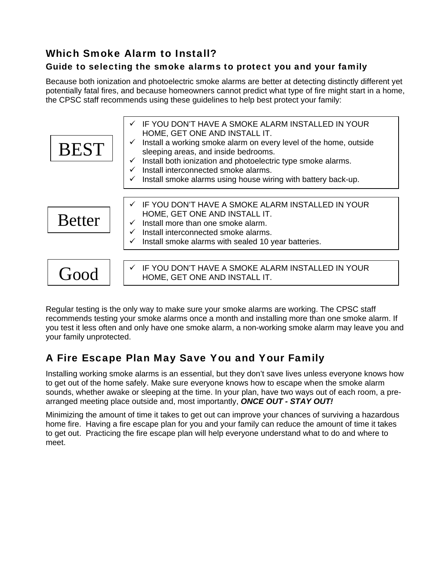## Which Smoke Alarm to Install?

## Guide to selecting the smoke alarms to protect you and your family

Because both ionization and photoelectric smoke alarms are better at detecting distinctly different yet potentially fatal fires, and because homeowners cannot predict what type of fire might start in a home, the CPSC staff recommends using these guidelines to help best protect your family:

| <b>BEST</b>   | IF YOU DON'T HAVE A SMOKE ALARM INSTALLED IN YOUR<br>$\checkmark$<br>HOME, GET ONE AND INSTALL IT.<br>Install a working smoke alarm on every level of the home, outside<br>sleeping areas, and inside bedrooms.<br>Install both ionization and photoelectric type smoke alarms.<br>$\checkmark$<br>Install interconnected smoke alarms.<br>Install smoke alarms using house wiring with battery back-up.<br>$\checkmark$ |
|---------------|--------------------------------------------------------------------------------------------------------------------------------------------------------------------------------------------------------------------------------------------------------------------------------------------------------------------------------------------------------------------------------------------------------------------------|
|               |                                                                                                                                                                                                                                                                                                                                                                                                                          |
|               |                                                                                                                                                                                                                                                                                                                                                                                                                          |
| <b>Better</b> | IF YOU DON'T HAVE A SMOKE ALARM INSTALLED IN YOUR<br>$\checkmark$<br>HOME, GET ONE AND INSTALL IT.<br>Install more than one smoke alarm.<br>Install interconnected smoke alarms.<br>Install smoke alarms with sealed 10 year batteries.                                                                                                                                                                                  |
|               | IF YOU DON'T HAVE A SMOKE ALARM INSTALLED IN YOUR<br>$\checkmark$<br>HOME, GET ONE AND INSTALL IT.                                                                                                                                                                                                                                                                                                                       |

Regular testing is the only way to make sure your smoke alarms are working. The CPSC staff recommends testing your smoke alarms once a month and installing more than one smoke alarm. If you test it less often and only have one smoke alarm, a non-working smoke alarm may leave you and your family unprotected.

## A Fire Escape Plan May Save You and Your Family

Installing working smoke alarms is an essential, but they don't save lives unless everyone knows how to get out of the home safely. Make sure everyone knows how to escape when the smoke alarm sounds, whether awake or sleeping at the time. In your plan, have two ways out of each room, a prearranged meeting place outside and, most importantly, *ONCE OUT - STAY OUT!*

Minimizing the amount of time it takes to get out can improve your chances of surviving a hazardous home fire. Having a fire escape plan for you and your family can reduce the amount of time it takes to get out. Practicing the fire escape plan will help everyone understand what to do and where to meet.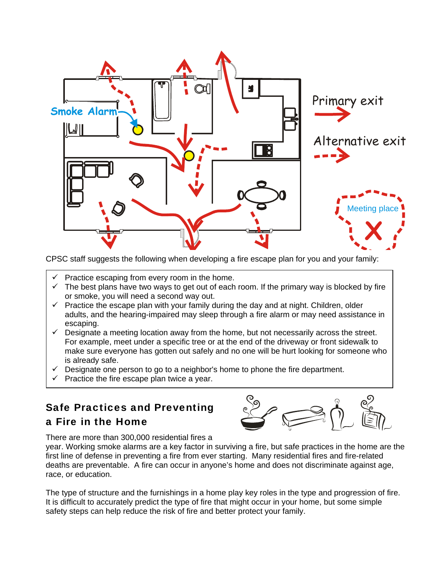

CPSC staff suggests the following when developing a fire escape plan for you and your family:

- Practice escaping from every room in the home.
- $\checkmark$  The best plans have two ways to get out of each room. If the primary way is blocked by fire or smoke, you will need a second way out.
- $\checkmark$  Practice the escape plan with your family during the day and at night. Children, older adults, and the hearing-impaired may sleep through a fire alarm or may need assistance in escaping.
- $\checkmark$  Designate a meeting location away from the home, but not necessarily across the street. For example, meet under a specific tree or at the end of the driveway or front sidewalk to make sure everyone has gotten out safely and no one will be hurt looking for someone who is already safe.
- $\checkmark$  Designate one person to go to a neighbor's home to phone the fire department.
- $\checkmark$  Practice the fire escape plan twice a year.

# Safe Practices and Preventing

## a Fire in the Home



There are more than 300,000 residential fires a

year. Working smoke alarms are a key factor in surviving a fire, but safe practices in the home are the first line of defense in preventing a fire from ever starting. Many residential fires and fire-related deaths are preventable. A fire can occur in anyone's home and does not discriminate against age, race, or education.

The type of structure and the furnishings in a home play key roles in the type and progression of fire. It is difficult to accurately predict the type of fire that might occur in your home, but some simple safety steps can help reduce the risk of fire and better protect your family.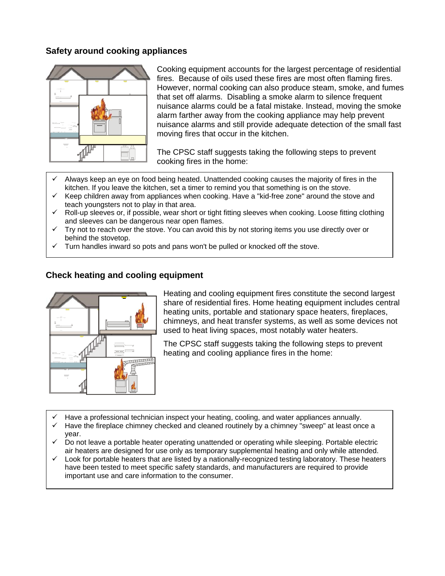#### **Safety around cooking appliances**



Cooking equipment accounts for the largest percentage of residential fires. Because of oils used these fires are most often flaming fires. However, normal cooking can also produce steam, smoke, and fumes that set off alarms. Disabling a smoke alarm to silence frequent nuisance alarms could be a fatal mistake. Instead, moving the smoke alarm farther away from the cooking appliance may help prevent nuisance alarms and still provide adequate detection of the small fast moving fires that occur in the kitchen.

The CPSC staff suggests taking the following steps to prevent cooking fires in the home:

- Always keep an eye on food being heated. Unattended cooking causes the majority of fires in the kitchen. If you leave the kitchen, set a timer to remind you that something is on the stove.
- Keep children away from appliances when cooking. Have a "kid-free zone" around the stove and teach youngsters not to play in that area.
- $\checkmark$  Roll-up sleeves or, if possible, wear short or tight fitting sleeves when cooking. Loose fitting clothing and sleeves can be dangerous near open flames.
- Try not to reach over the stove. You can avoid this by not storing items you use directly over or behind the stovetop.
- Turn handles inward so pots and pans won't be pulled or knocked off the stove.



#### **Check heating and cooling equipment**

Heating and cooling equipment fires constitute the second largest share of residential fires. Home heating equipment includes central heating units, portable and stationary space heaters, fireplaces, chimneys, and heat transfer systems, as well as some devices not used to heat living spaces, most notably water heaters.

The CPSC staff suggests taking the following steps to prevent heating and cooling appliance fires in the home:

- Have a professional technician inspect your heating, cooling, and water appliances annually.
- Have the fireplace chimney checked and cleaned routinely by a chimney "sweep" at least once a year.
- $\checkmark$  Do not leave a portable heater operating unattended or operating while sleeping. Portable electric air heaters are designed for use only as temporary supplemental heating and only while attended.
- Look for portable heaters that are listed by a nationally-recognized testing laboratory. These heaters have been tested to meet specific safety standards, and manufacturers are required to provide important use and care information to the consumer.